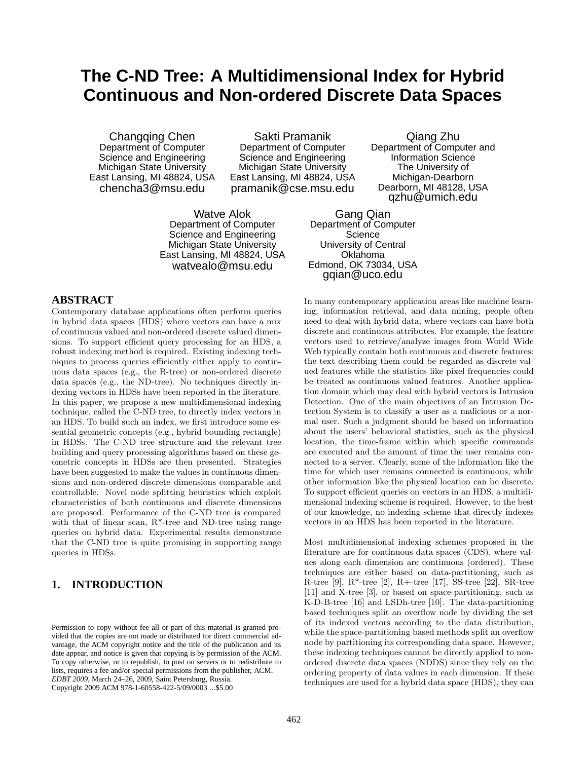# **The C-ND Tree: A Multidimensional Index for Hybrid Continuous and Non-ordered Discrete Data Spaces**

Changqing Chen Department of Computer Science and Engineering Michigan State University East Lansing, MI 48824, USA chencha3@msu.edu

Sakti Pramanik Department of Computer Science and Engineering Michigan State University East Lansing, MI 48824, USA pramanik@cse.msu.edu

Watve Alok Department of Computer Science and Engineering Michigan State University East Lansing, MI 48824, USA watvealo@msu.edu

Qiang Zhu Department of Computer and Information Science The University of Michigan-Dearborn Dearborn, MI 48128, USA qzhu@umich.edu

Science University of Central Oklahoma Edmond, OK 73034, USA gqian@uco.edu

Gang Qian Department of Computer

# **ABSTRACT**

Contemporary database applications often perform queries in hybrid data spaces (HDS) where vectors can have a mix of continuous valued and non-ordered discrete valued dimensions. To support efficient query processing for an HDS, a robust indexing method is required. Existing indexing techniques to process queries efficiently either apply to continuous data spaces (e.g., the R-tree) or non-ordered discrete data spaces (e.g., the ND-tree). No techniques directly indexing vectors in HDSs have been reported in the literature. In this paper, we propose a new multidimensional indexing technique, called the C-ND tree, to directly index vectors in an HDS. To build such an index, we first introduce some essential geometric concepts (e.g., hybrid bounding rectangle) in HDSs. The C-ND tree structure and the relevant tree building and query processing algorithms based on these geometric concepts in HDSs are then presented. Strategies have been suggested to make the values in continuous dimensions and non-ordered discrete dimensions comparable and controllable. Novel node splitting heuristics which exploit characteristics of both continuous and discrete dimensions are proposed. Performance of the C-ND tree is compared with that of linear scan, R\*-tree and ND-tree using range queries on hybrid data. Experimental results demonstrate that the C-ND tree is quite promising in supporting range queries in HDSs.

# **1. INTRODUCTION**

Permission to copy without fee all or part of this material is granted provided that the copies are not made or distributed for direct commercial advantage, the ACM copyright notice and the title of the publication and its date appear, and notice is given that copying is by permission of the ACM. To copy otherwise, or to republish, to post on servers or to redistribute to lists, requires a fee and/or special permissions from the publisher, ACM. *EDBT 2009*, March 24–26, 2009, Saint Petersburg, Russia. Copyright 2009 ACM 978-1-60558-422-5/09/0003 ...\$5.00

In many contemporary application areas like machine learning, information retrieval, and data mining, people often need to deal with hybrid data, where vectors can have both discrete and continuous attributes. For example, the feature vectors used to retrieve/analyze images from World Wide Web typically contain both continuous and discrete features: the text describing them could be regarded as discrete valued features while the statistics like pixel frequencies could be treated as continuous valued features. Another application domain which may deal with hybrid vectors is Intrusion Detection. One of the main objectives of an Intrusion Detection System is to classify a user as a malicious or a normal user. Such a judgment should be based on information about the users' behavioral statistics, such as the physical location, the time-frame within which specific commands are executed and the amount of time the user remains connected to a server. Clearly, some of the information like the time for which user remains connected is continuous, while other information like the physical location can be discrete. To support efficient queries on vectors in an HDS, a multidimensional indexing scheme is required. However, to the best of our knowledge, no indexing scheme that directly indexes vectors in an HDS has been reported in the literature.

Most multidimensional indexing schemes proposed in the literature are for continuous data spaces (CDS), where values along each dimension are continuous (ordered). These techniques are either based on data-partitioning, such as R-tree [9], R\*-tree [2], R+-tree [17], SS-tree [22], SR-tree [11] and X-tree [3], or based on space-partitioning, such as K-D-B-tree [16] and LSDh-tree [10]. The data-partitioning based techniques split an overflow node by dividing the set of its indexed vectors according to the data distribution, while the space-partitioning based methods split an overflow node by partitioning its corresponding data space. However, these indexing techniques cannot be directly applied to nonordered discrete data spaces (NDDS) since they rely on the ordering property of data values in each dimension. If these techniques are used for a hybrid data space (HDS), they can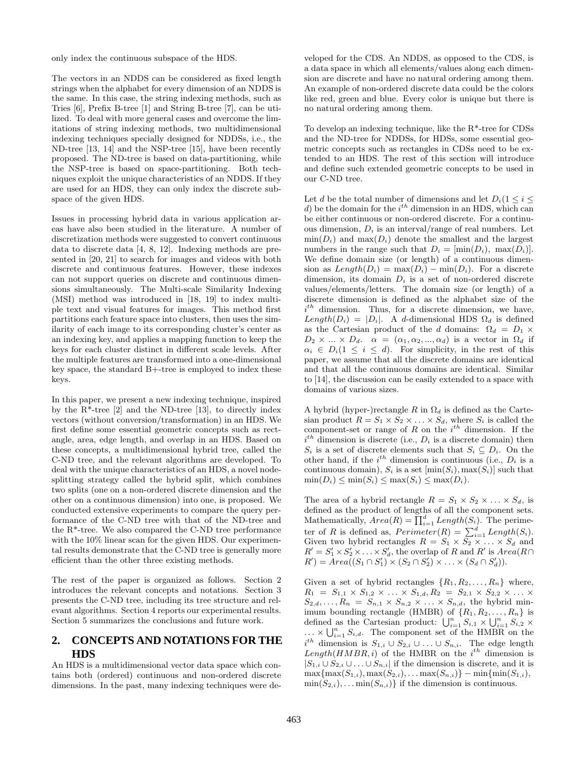only index the continuous subspace of the HDS.

The vectors in an NDDS can be considered as fixed length strings when the alphabet for every dimension of an NDDS is the same. In this case, the string indexing methods, such as Tries [6], Prefix B-tree [1] and String B-tree [7], can be utilized. To deal with more general cases and overcome the limitations of string indexing methods, two multidimensional indexing techniques specially designed for NDDSs, i.e., the ND-tree [13, 14] and the NSP-tree [15], have been recently proposed. The ND-tree is based on data-partitioning, while the NSP-tree is based on space-partitioning. Both techniques exploit the unique characteristics of an NDDS. If they are used for an HDS, they can only index the discrete subspace of the given HDS.

Issues in processing hybrid data in various application areas have also been studied in the literature. A number of discretization methods were suggested to convert continuous data to discrete data [4, 8, 12]. Indexing methods are presented in [20, 21] to search for images and videos with both discrete and continuous features. However, these indexes can not support queries on discrete and continuous dimensions simultaneously. The Multi-scale Similarity Indexing (MSI) method was introduced in [18, 19] to index multiple text and visual features for images. This method first partitions each feature space into clusters, then uses the similarity of each image to its corresponding cluster's center as an indexing key, and applies a mapping function to keep the keys for each cluster distinct in different scale levels. After the multiple features are transformed into a one-dimensional key space, the standard B+-tree is employed to index these keys.

In this paper, we present a new indexing technique, inspired by the  $R^*$ -tree [2] and the ND-tree [13], to directly index vectors (without conversion/transformation) in an HDS. We first define some essential geometric concepts such as rectangle, area, edge length, and overlap in an HDS. Based on these concepts, a multidimensional hybrid tree, called the C-ND tree, and the relevant algorithms are developed. To deal with the unique characteristics of an HDS, a novel nodesplitting strategy called the hybrid split, which combines two splits (one on a non-ordered discrete dimension and the other on a continuous dimension) into one, is proposed. We conducted extensive experiments to compare the query performance of the C-ND tree with that of the ND-tree and the R\*-tree. We also compared the C-ND tree performance with the  $10\%$  linear scan for the given HDS. Our experimental results demonstrate that the C-ND tree is generally more efficient than the other three existing methods.

The rest of the paper is organized as follows. Section 2 introduces the relevant concepts and notations. Section 3 presents the C-ND tree, including its tree structure and relevant algorithms. Section 4 reports our experimental results. Section 5 summarizes the conclusions and future work.

# **2. CONCEPTS AND NOTATIONS FOR THE HDS**

An HDS is a multidimensional vector data space which contains both (ordered) continuous and non-ordered discrete dimensions. In the past, many indexing techniques were developed for the CDS. An NDDS, as opposed to the CDS, is a data space in which all elements/values along each dimension are discrete and have no natural ordering among them. An example of non-ordered discrete data could be the colors like red, green and blue. Every color is unique but there is no natural ordering among them.

To develop an indexing technique, like the R\*-tree for CDSs and the ND-tree for NDDSs, for HDSs, some essential geometric concepts such as rectangles in CDSs need to be extended to an HDS. The rest of this section will introduce and define such extended geometric concepts to be used in our C-ND tree.

Let d be the total number of dimensions and let  $D_i(1 \leq i \leq j)$ d) be the domain for the  $i^{th}$  dimension in an HDS, which can be either continuous or non-ordered discrete. For a continuous dimension,  $D_i$  is an interval/range of real numbers. Let  $min(D_i)$  and  $max(D_i)$  denote the smallest and the largest numbers in the range such that  $D_i = [\min(D_i), \max(D_i)].$ We define domain size (or length) of a continuous dimension as  $Length(D_i) = max(D_i) - min(D_i)$ . For a discrete dimension, its domain  $D_i$  is a set of non-ordered discrete values/elements/letters. The domain size (or length) of a discrete dimension is defined as the alphabet size of the  $i<sup>th</sup>$  dimension. Thus, for a discrete dimension, we have,  $Length(D_i) = |D_i|$ . A d-dimensional HDS  $\Omega_d$  is defined as the Cartesian product of the d domains:  $\Omega_d = D_1 \times$  $D_2 \times ... \times D_d$ .  $\alpha = (\alpha_1, \alpha_2, ..., \alpha_d)$  is a vector in  $\Omega_d$  if  $\alpha_i \in D_i(1 \leq i \leq d)$ . For simplicity, in the rest of this paper, we assume that all the discrete domains are identical and that all the continuous domains are identical. Similar to [14], the discussion can be easily extended to a space with domains of various sizes.

A hybrid (hyper-)rectangle R in  $\Omega_d$  is defined as the Cartesian product  $R = S_1 \times S_2 \times \ldots \times S_d$ , where  $S_i$  is called the component-set or range of R on the  $i^{th}$  dimension. If the  $i<sup>th</sup>$  dimension is discrete (i.e.,  $D_i$  is a discrete domain) then  $S_i$  is a set of discrete elements such that  $S_i \subseteq D_i$ . On the other hand, if the  $i^{th}$  dimension is continuous (i.e.,  $D_i$  is a continuous domain),  $S_i$  is a set  $[\min(S_i), \max(S_i)]$  such that  $\min(D_i) \leq \min(S_i) \leq \max(S_i) \leq \max(D_i).$ 

The area of a hybrid rectangle  $R = S_1 \times S_2 \times \ldots \times S_d$ , is defined as the product of lengths of all the component sets. Mathematically,  $Area(R) = \prod_{i=1}^{d} Length(S_i)$ . The perimeter of R is defined as,  $Perimeter(R) = \sum_{i=1}^{d} Length(S_i)$ . Given two hybrid rectangles  $R = S_1 \times S_2 \times \ldots \times S_d$  and  $R' = S_1' \times S_2' \times \ldots \times S_d'$ , the overlap of R and R' is  $Area(R \cap$  $R'$ ) =  $Area((S_1 \cap S'_1) \times (S_2 \cap S'_2) \times ... \times (S_d \cap S'_d)).$ 

Given a set of hybrid rectangles  $\{R_1, R_2, \ldots, R_n\}$  where,  $R_1 = S_{1,1} \times S_{1,2} \times \ldots \times S_{1,d}, R_2 = S_{2,1} \times S_{2,2} \times \ldots \times$  $S_{2,d},\ldots,\tilde{R}_n = S_{n,1} \times S_{n,2} \times \ldots \times S_{n,d}$ , the hybrid minimum bounding rectangle (HMBR) of  $\{R_1, R_2, \ldots, R_n\}$  is defined as the Cartesian product:  $\bigcup_{i=1}^{n} S_{i,1} \times \bigcup_{i=1}^{n} S_{i,2} \times$  $\ldots \times \bigcup_{i=1}^n S_{i,d}$ . The component set of the HMBR on the  $i^{th}$  dimension is  $S_{1,i} \cup S_{2,i} \cup \ldots \cup S_{n,i}$ . The edge length Length(HMBR, i) of the HMBR on the  $i^{th}$  dimension is  $|S_{1,i} \cup S_{2,i} \cup \ldots \cup S_{n,i}|$  if the dimension is discrete, and it is  $\max{\max(S_{1,i}), \max(S_{2,i}), \ldots \max(S_{n,i})\} - \min{\min(S_{1,i})}$  $\min(S_{2,i}), \ldots \min(S_{n,i})\}$  if the dimension is continuous.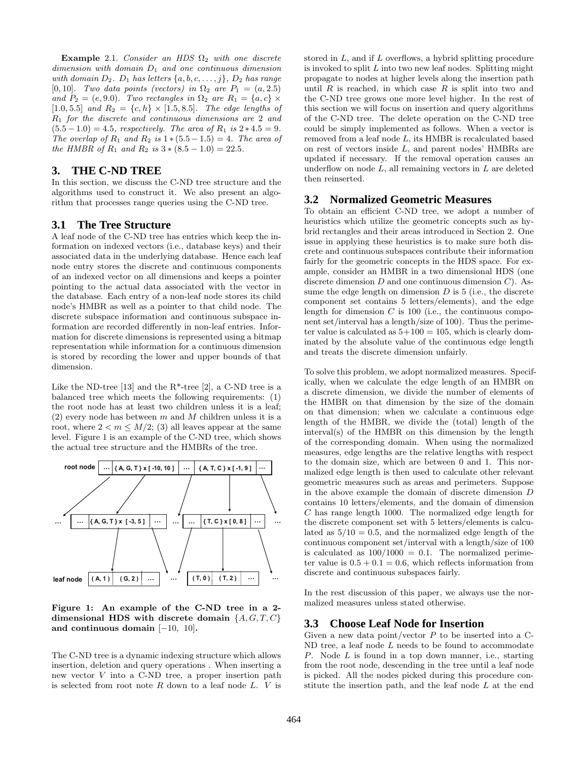Example 2.1. Consider an HDS  $\Omega_2$  with one discrete dimension with domain  $D_1$  and one continuous dimension with domain  $D_2$ .  $D_1$  has letters  $\{a, b, c, \ldots, j\}$ ,  $D_2$  has range [0, 10]. Two data points (vectors) in  $\Omega_2$  are  $P_1 = (a, 2.5)$ and  $P_2 = (e, 9.0)$ . Two rectangles in  $\Omega_2$  are  $R_1 = \{a, c\} \times$ [1.0, 5.5] and  $R_2 = \{c, h\} \times [1.5, 8.5]$ . The edge lengths of R<sup>1</sup> for the discrete and continuous dimensions are 2 and  $(5.5 - 1.0) = 4.5$ , respectively. The area of  $R_1$  is  $2 * 4.5 = 9$ . The overlap of  $R_1$  and  $R_2$  is  $1 * (5.5 - 1.5) = 4$ . The area of the HMBR of  $R_1$  and  $R_2$  is  $3*(8.5-1.0) = 22.5$ .

### **3. THE C-ND TREE**

In this section, we discuss the C-ND tree structure and the algorithms used to construct it. We also present an algorithm that processes range queries using the C-ND tree.

### **3.1 The Tree Structure**

A leaf node of the C-ND tree has entries which keep the information on indexed vectors (i.e., database keys) and their associated data in the underlying database. Hence each leaf node entry stores the discrete and continuous components of an indexed vector on all dimensions and keeps a pointer pointing to the actual data associated with the vector in the database. Each entry of a non-leaf node stores its child node's HMBR as well as a pointer to that child node. The discrete subspace information and continuous subspace information are recorded differently in non-leaf entries. Information for discrete dimensions is represented using a bitmap representation while information for a continuous dimension is stored by recording the lower and upper bounds of that dimension.

Like the ND-tree [13] and the  $R^*$ -tree [2], a C-ND tree is a balanced tree which meets the following requirements: (1) the root node has at least two children unless it is a leaf;  $(2)$  every node has between m and M children unless it is a root, where  $2 < m \leq M/2$ ; (3) all leaves appear at the same level. Figure 1 is an example of the C-ND tree, which shows the actual tree structure and the HMBRs of the tree.



Figure 1: An example of the C-ND tree in a 2 dimensional HDS with discrete domain  $\{A, G, T, C\}$ and continuous domain [−10, 10].

The C-ND tree is a dynamic indexing structure which allows insertion, deletion and query operations . When inserting a new vector V into a C-ND tree, a proper insertion path is selected from root note  $R$  down to a leaf node  $L$ .  $V$  is stored in L, and if L overflows, a hybrid splitting procedure is invoked to split  $L$  into two new leaf nodes. Splitting might propagate to nodes at higher levels along the insertion path until  $R$  is reached, in which case  $R$  is split into two and the C-ND tree grows one more level higher. In the rest of this section we will focus on insertion and query algorithms of the C-ND tree. The delete operation on the C-ND tree could be simply implemented as follows. When a vector is removed from a leaf node L, its HMBR is recalculated based on rest of vectors inside L, and parent nodes' HMBRs are updated if necessary. If the removal operation causes an underflow on node  $L$ , all remaining vectors in  $L$  are deleted then reinserted.

### **3.2 Normalized Geometric Measures**

To obtain an efficient C-ND tree, we adopt a number of heuristics which utilize the geometric concepts such as hybrid rectangles and their areas introduced in Section 2. One issue in applying these heuristics is to make sure both discrete and continuous subspaces contribute their information fairly for the geometric concepts in the HDS space. For example, consider an HMBR in a two dimensional HDS (one discrete dimension  $D$  and one continuous dimension  $C$ ). Assume the edge length on dimension  $D$  is 5 (i.e., the discrete component set contains 5 letters/elements), and the edge length for dimension  $C$  is 100 (i.e., the continuous component set/interval has a length/size of 100). Thus the perimeter value is calculated as  $5+100 = 105$ , which is clearly dominated by the absolute value of the continuous edge length and treats the discrete dimension unfairly.

To solve this problem, we adopt normalized measures. Specifically, when we calculate the edge length of an HMBR on a discrete dimension, we divide the number of elements of the HMBR on that dimension by the size of the domain on that dimension; when we calculate a continuous edge length of the HMBR, we divide the (total) length of the interval(s) of the HMBR on this dimension by the length of the corresponding domain. When using the normalized measures, edge lengths are the relative lengths with respect to the domain size, which are between 0 and 1. This normalized edge length is then used to calculate other relevant geometric measures such as areas and perimeters. Suppose in the above example the domain of discrete dimension D contains 10 letters/elements, and the domain of dimension C has range length 1000. The normalized edge length for the discrete component set with 5 letters/elements is calculated as  $5/10 = 0.5$ , and the normalized edge length of the continuous component set/interval with a length/size of 100 is calculated as  $100/1000 = 0.1$ . The normalized perimeter value is  $0.5 + 0.1 = 0.6$ , which reflects information from discrete and continuous subspaces fairly.

In the rest discussion of this paper, we always use the normalized measures unless stated otherwise.

### **3.3 Choose Leaf Node for Insertion**

Given a new data point/vector  $P$  to be inserted into a C-ND tree, a leaf node L needs to be found to accommodate P. Node L is found in a top down manner, i.e., starting from the root node, descending in the tree until a leaf node is picked. All the nodes picked during this procedure constitute the insertion path, and the leaf node L at the end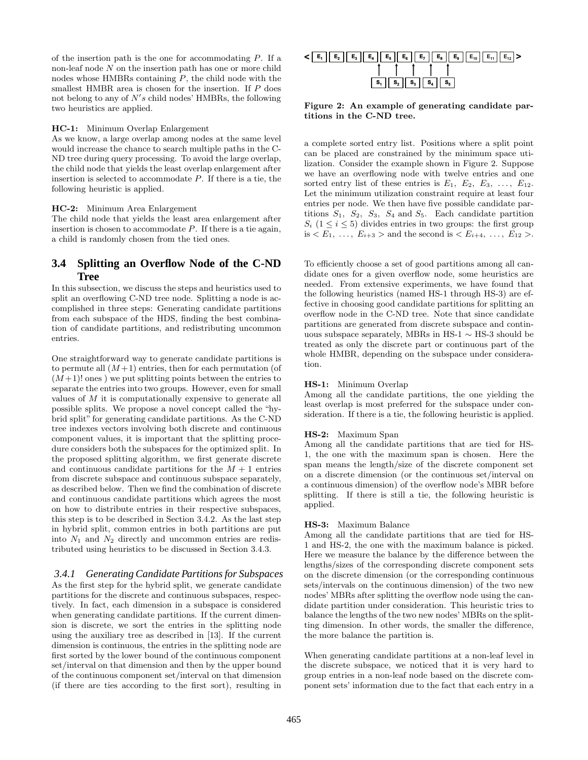of the insertion path is the one for accommodating P. If a non-leaf node  $N$  on the insertion path has one or more child nodes whose HMBRs containing  $P$ , the child node with the smallest HMBR area is chosen for the insertion. If  $P$  does not belong to any of  $N's$  child nodes' HMBRs, the following two heuristics are applied.

#### HC-1: Minimum Overlap Enlargement

As we know, a large overlap among nodes at the same level would increase the chance to search multiple paths in the C-ND tree during query processing. To avoid the large overlap, the child node that yields the least overlap enlargement after insertion is selected to accommodate  $P$ . If there is a tie, the following heuristic is applied.

### HC-2: Minimum Area Enlargement

The child node that yields the least area enlargement after insertion is chosen to accommodate  $P$ . If there is a tie again, a child is randomly chosen from the tied ones.

# **3.4 Splitting an Overflow Node of the C-ND Tree**

In this subsection, we discuss the steps and heuristics used to split an overflowing C-ND tree node. Splitting a node is accomplished in three steps: Generating candidate partitions from each subspace of the HDS, finding the best combination of candidate partitions, and redistributing uncommon entries.

One straightforward way to generate candidate partitions is to permute all  $(M+1)$  entries, then for each permutation (of  $(M+1)!$  ones) we put splitting points between the entries to separate the entries into two groups. However, even for small values of M it is computationally expensive to generate all possible splits. We propose a novel concept called the "hybrid split" for generating candidate partitions. As the C-ND tree indexes vectors involving both discrete and continuous component values, it is important that the splitting procedure considers both the subspaces for the optimized split. In the proposed splitting algorithm, we first generate discrete and continuous candidate partitions for the  $M+1$  entries from discrete subspace and continuous subspace separately, as described below. Then we find the combination of discrete and continuous candidate partitions which agrees the most on how to distribute entries in their respective subspaces, this step is to be described in Section 3.4.2. As the last step in hybrid split, common entries in both partitions are put into  $N_1$  and  $N_2$  directly and uncommon entries are redistributed using heuristics to be discussed in Section 3.4.3.

### *3.4.1 Generating Candidate Partitions for Subspaces*

As the first step for the hybrid split, we generate candidate partitions for the discrete and continuous subspaces, respectively. In fact, each dimension in a subspace is considered when generating candidate partitions. If the current dimension is discrete, we sort the entries in the splitting node using the auxiliary tree as described in [13]. If the current dimension is continuous, the entries in the splitting node are first sorted by the lower bound of the continuous component set/interval on that dimension and then by the upper bound of the continuous component set/interval on that dimension (if there are ties according to the first sort), resulting in



Figure 2: An example of generating candidate partitions in the C-ND tree.

a complete sorted entry list. Positions where a split point can be placed are constrained by the minimum space utilization. Consider the example shown in Figure 2. Suppose we have an overflowing node with twelve entries and one sorted entry list of these entries is  $E_1, E_2, E_3, \ldots, E_{12}$ . Let the minimum utilization constraint require at least four entries per node. We then have five possible candidate partitions  $S_1$ ,  $S_2$ ,  $S_3$ ,  $S_4$  and  $S_5$ . Each candidate partition  $S_i$  (1  $\leq i \leq 5$ ) divides entries in two groups: the first group is  $\lt E_1, \ldots, E_{i+3} >$  and the second is  $\lt E_{i+4}, \ldots, E_{12} >$ .

To efficiently choose a set of good partitions among all candidate ones for a given overflow node, some heuristics are needed. From extensive experiments, we have found that the following heuristics (named HS-1 through HS-3) are effective in choosing good candidate partitions for splitting an overflow node in the C-ND tree. Note that since candidate partitions are generated from discrete subspace and continuous subspace separately, MBRs in HS-1 ∼ HS-3 should be treated as only the discrete part or continuous part of the whole HMBR, depending on the subspace under consideration.

### HS-1: Minimum Overlap

Among all the candidate partitions, the one yielding the least overlap is most preferred for the subspace under consideration. If there is a tie, the following heuristic is applied.

#### HS-2: Maximum Span

Among all the candidate partitions that are tied for HS-1, the one with the maximum span is chosen. Here the span means the length/size of the discrete component set on a discrete dimension (or the continuous set/interval on a continuous dimension) of the overflow node's MBR before splitting. If there is still a tie, the following heuristic is applied.

#### HS-3: Maximum Balance

Among all the candidate partitions that are tied for HS-1 and HS-2, the one with the maximum balance is picked. Here we measure the balance by the difference between the lengths/sizes of the corresponding discrete component sets on the discrete dimension (or the corresponding continuous sets/intervals on the continuous dimension) of the two new nodes' MBRs after splitting the overflow node using the candidate partition under consideration. This heuristic tries to balance the lengths of the two new nodes' MBRs on the splitting dimension. In other words, the smaller the difference, the more balance the partition is.

When generating candidate partitions at a non-leaf level in the discrete subspace, we noticed that it is very hard to group entries in a non-leaf node based on the discrete component sets' information due to the fact that each entry in a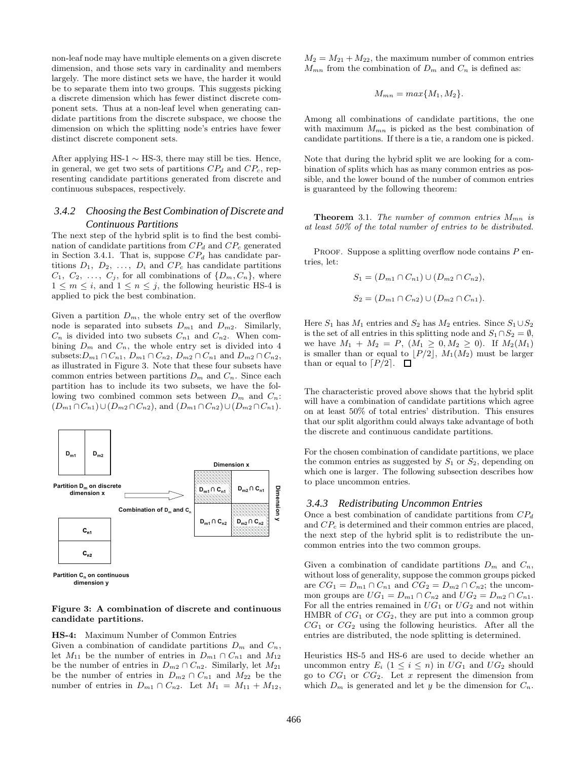non-leaf node may have multiple elements on a given discrete dimension, and those sets vary in cardinality and members largely. The more distinct sets we have, the harder it would be to separate them into two groups. This suggests picking a discrete dimension which has fewer distinct discrete component sets. Thus at a non-leaf level when generating candidate partitions from the discrete subspace, we choose the dimension on which the splitting node's entries have fewer distinct discrete component sets.

After applying HS-1  $\sim$  HS-3, there may still be ties. Hence, in general, we get two sets of partitions  $CP<sub>d</sub>$  and  $CP<sub>c</sub>$ , representing candidate partitions generated from discrete and continuous subspaces, respectively.

# *3.4.2 Choosing the Best Combination of Discrete and Continuous Partitions*

The next step of the hybrid split is to find the best combination of candidate partitions from  $CP<sub>d</sub>$  and  $CP<sub>c</sub>$  generated in Section 3.4.1. That is, suppose  $CP<sub>d</sub>$  has candidate partitions  $D_1$ ,  $D_2$ , ...,  $D_i$  and  $CP_c$  has candidate partitions  $C_1, C_2, \ldots, C_i$ , for all combinations of  $\{D_m, C_n\}$ , where  $1 \leq m \leq i$ , and  $1 \leq n \leq j$ , the following heuristic HS-4 is applied to pick the best combination.

Given a partition  $D_m$ , the whole entry set of the overflow node is separated into subsets  $D_{m1}$  and  $D_{m2}$ . Similarly,  $C_n$  is divided into two subsets  $C_{n1}$  and  $C_{n2}$ . When combining  $D_m$  and  $C_n$ , the whole entry set is divided into 4 subsets: $D_{m1} \cap C_{n1}$ ,  $D_{m1} \cap C_{n2}$ ,  $D_{m2} \cap C_{n1}$  and  $D_{m2} \cap C_{n2}$ , as illustrated in Figure 3. Note that these four subsets have common entries between partitions  $D_m$  and  $C_n$ . Since each partition has to include its two subsets, we have the following two combined common sets between  $D_m$  and  $C_n$ :  $(D_{m1} \cap C_{n1}) \cup (D_{m2} \cap C_{n2}),$  and  $(D_{m1} \cap C_{n2}) \cup (D_{m2} \cap C_{n1}).$ 



**Partition C<sup>n</sup> on continuous dimension y**

### Figure 3: A combination of discrete and continuous candidate partitions.

### HS-4: Maximum Number of Common Entries

Given a combination of candidate partitions  $D_m$  and  $C_n$ , let  $M_{11}$  be the number of entries in  $D_{m1} \cap C_{n1}$  and  $M_{12}$ be the number of entries in  $D_{m2} \cap C_{n2}$ . Similarly, let  $M_{21}$ be the number of entries in  $D_{m2} \cap C_{n1}$  and  $M_{22}$  be the number of entries in  $D_{m1} \cap C_{n2}$ . Let  $M_1 = M_{11} + M_{12}$ ,  $M_2 = M_{21} + M_{22}$ , the maximum number of common entries  $M_{mn}$  from the combination of  $D_m$  and  $C_n$  is defined as:

$$
M_{mn} = max\{M_1, M_2\}.
$$

Among all combinations of candidate partitions, the one with maximum  $M_{mn}$  is picked as the best combination of candidate partitions. If there is a tie, a random one is picked.

Note that during the hybrid split we are looking for a combination of splits which has as many common entries as possible, and the lower bound of the number of common entries is guaranteed by the following theorem:

**Theorem** 3.1. The number of common entries  $M_{mn}$  is at least 50% of the total number of entries to be distributed.

PROOF. Suppose a splitting overflow node contains  $P$  entries, let:

$$
S_1 = (D_{m1} \cap C_{n1}) \cup (D_{m2} \cap C_{n2}),
$$
  

$$
S_2 = (D_{m1} \cap C_{n2}) \cup (D_{m2} \cap C_{n1}).
$$

Here  $S_1$  has  $M_1$  entries and  $S_2$  has  $M_2$  entries. Since  $S_1 \cup S_2$ is the set of all entries in this splitting node and  $S_1 \cap S_2 = \emptyset$ , we have  $M_1 + M_2 = P$ ,  $(M_1 \geq 0, M_2 \geq 0)$ . If  $M_2(M_1)$ is smaller than or equal to  $[P/2], M_1(M_2)$  must be larger than or equal to  $[P/2]$ .  $\Box$ 

The characteristic proved above shows that the hybrid split will have a combination of candidate partitions which agree on at least 50% of total entries' distribution. This ensures that our split algorithm could always take advantage of both the discrete and continuous candidate partitions.

For the chosen combination of candidate partitions, we place the common entries as suggested by  $S_1$  or  $S_2$ , depending on which one is larger. The following subsection describes how to place uncommon entries.

### *3.4.3 Redistributing Uncommon Entries*

Once a best combination of candidate partitions from  $CP<sub>d</sub>$ and  $CP<sub>c</sub>$  is determined and their common entries are placed, the next step of the hybrid split is to redistribute the uncommon entries into the two common groups.

Given a combination of candidate partitions  $D_m$  and  $C_n$ , without loss of generality, suppose the common groups picked are  $CG_1 = D_{m1} \cap C_{n1}$  and  $CG_2 = D_{m2} \cap C_{n2}$ ; the uncommon groups are  $UG_1 = D_{m1} \cap C_{n2}$  and  $UG_2 = D_{m2} \cap C_{n1}$ . For all the entries remained in  $UG_1$  or  $UG_2$  and not within HMBR of  $CG_1$  or  $CG_2$ , they are put into a common group  $CG<sub>1</sub>$  or  $CG<sub>2</sub>$  using the following heuristics. After all the entries are distributed, the node splitting is determined.

Heuristics HS-5 and HS-6 are used to decide whether an uncommon entry  $E_i$   $(1 \leq i \leq n)$  in  $UG_1$  and  $UG_2$  should go to  $CG_1$  or  $CG_2$ . Let x represent the dimension from which  $D_m$  is generated and let y be the dimension for  $C_n$ .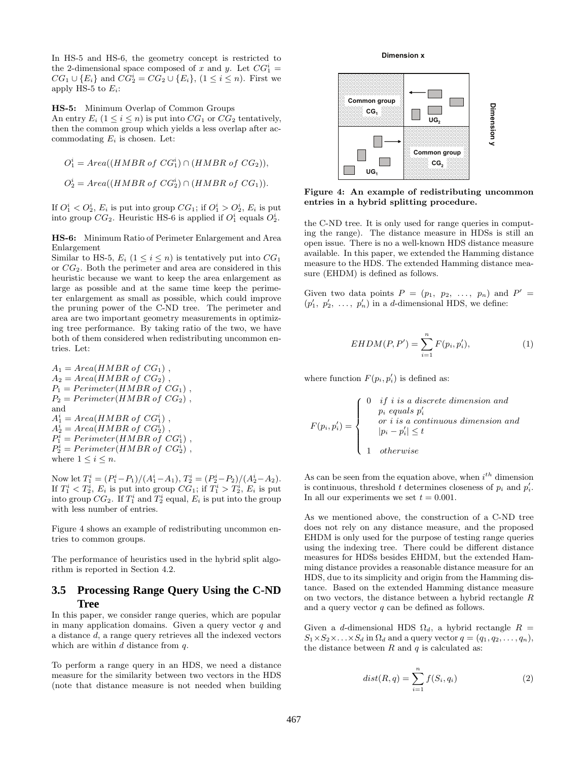In HS-5 and HS-6, the geometry concept is restricted to the 2-dimensional space composed of x and y. Let  $CG_1^i$  =  $CG_1 \cup \{E_i\}$  and  $CG_2^i = CG_2 \cup \{E_i\}, (1 \leq i \leq n)$ . First we apply HS-5 to  $E_i$ :

HS-5: Minimum Overlap of Common Groups An entry  $E_i$   $(1 \leq i \leq n)$  is put into  $CG_1$  or  $CG_2$  tentatively, then the common group which yields a less overlap after accommodating  $E_i$  is chosen. Let:

$$
O_1^i = Area((HMBR \text{ of } CG_1^i) \cap (HMBR \text{ of } CG_2)),
$$
  

$$
O_2^i = Area((HMBR \text{ of } CG_2^i) \cap (HMBR \text{ of } CG_1)).
$$

If  $O_1^i < O_2^i$ ,  $E_i$  is put into group  $CG_1$ ; if  $O_1^i > O_2^i$ ,  $E_i$  is put into group  $CG_2$ . Heuristic HS-6 is applied if  $O_1^i$  equals  $O_2^i$ .

HS-6: Minimum Ratio of Perimeter Enlargement and Area Enlargement

Similar to HS-5,  $E_i$   $(1 \leq i \leq n)$  is tentatively put into  $CG_1$ or  $CG_2$ . Both the perimeter and area are considered in this heuristic because we want to keep the area enlargement as large as possible and at the same time keep the perimeter enlargement as small as possible, which could improve the pruning power of the C-ND tree. The perimeter and area are two important geometry measurements in optimizing tree performance. By taking ratio of the two, we have both of them considered when redistributing uncommon entries. Let:

 $A_1 = Area(HMBR \text{ of } CG_1),$  $A_2 = Area(HMBR \text{ of } CG_2),$  $P_1 = Perimeter(HMBR of CG_1)$ ,  $P_2 = Perimeter(HMBR of CG_2)$ , and  $A_1^i = Area(HMBR \text{ of } CG_1^i)$ ,  $A_2^i = Area(HMBR \text{ of } CG_2^i)$ ,  $P_1^i = Perimeter(HMBR of CG_1^i)$ ,  $P_2^i = Perimeter(HMBR\ of\ CG_2^i)$ , where  $1 \leq i \leq n$ .

Now let  $T_1^i = (P_1^i - P_1)/(A_1^i - A_1), T_2^i = (P_2^i - P_2)/(A_2^i - A_2).$ If  $T_1^i < T_2^i$ ,  $E_i$  is put into group  $CG_1$ ; if  $T_1^i > T_2^i$ ,  $E_i$  is put into group  $CG_2$ . If  $T_1^i$  and  $T_2^i$  equal,  $E_i$  is put into the group with less number of entries.

Figure 4 shows an example of redistributing uncommon entries to common groups.

The performance of heuristics used in the hybrid split algorithm is reported in Section 4.2.

# **3.5 Processing Range Query Using the C-ND Tree**

In this paper, we consider range queries, which are popular in many application domains. Given a query vector  $q$  and a distance d, a range query retrieves all the indexed vectors which are within  $d$  distance from  $q$ .

To perform a range query in an HDS, we need a distance measure for the similarity between two vectors in the HDS (note that distance measure is not needed when building

#### **Dimension x**



Figure 4: An example of redistributing uncommon entries in a hybrid splitting procedure.

the C-ND tree. It is only used for range queries in computing the range). The distance measure in HDSs is still an open issue. There is no a well-known HDS distance measure available. In this paper, we extended the Hamming distance measure to the HDS. The extended Hamming distance measure (EHDM) is defined as follows.

Given two data points  $P = (p_1, p_2, \ldots, p_n)$  and  $P' =$  $(p'_1, p'_2, \ldots, p'_n)$  in a d-dimensional HDS, we define:

$$
EHDM(P, P') = \sum_{i=1}^{n} F(p_i, p'_i),
$$
\n(1)

where function  $F(p_i, p'_i)$  is defined as:

$$
F(p_i, p'_i) = \begin{cases} 0 & if i is a discrete dimension and \\ & p_i equals p'_i \\ & or i is a continuous dimension and \\ & |p_i - p'_i| \le t \\ & 1 & otherwise \end{cases}
$$

As can be seen from the equation above, when  $i^{th}$  dimension is continuous, threshold t determines closeness of  $p_i$  and  $p'_i$ . In all our experiments we set  $t = 0.001$ .

As we mentioned above, the construction of a C-ND tree does not rely on any distance measure, and the proposed EHDM is only used for the purpose of testing range queries using the indexing tree. There could be different distance measures for HDSs besides EHDM, but the extended Hamming distance provides a reasonable distance measure for an HDS, due to its simplicity and origin from the Hamming distance. Based on the extended Hamming distance measure on two vectors, the distance between a hybrid rectangle R and a query vector  $q$  can be defined as follows.

Given a d-dimensional HDS  $\Omega_d$ , a hybrid rectangle  $R =$  $S_1 \times S_2 \times \ldots \times S_d$  in  $\Omega_d$  and a query vector  $q = (q_1, q_2, \ldots, q_n)$ , the distance between  $R$  and  $q$  is calculated as:

$$
dist(R, q) = \sum_{i=1}^{n} f(S_i, q_i)
$$
 (2)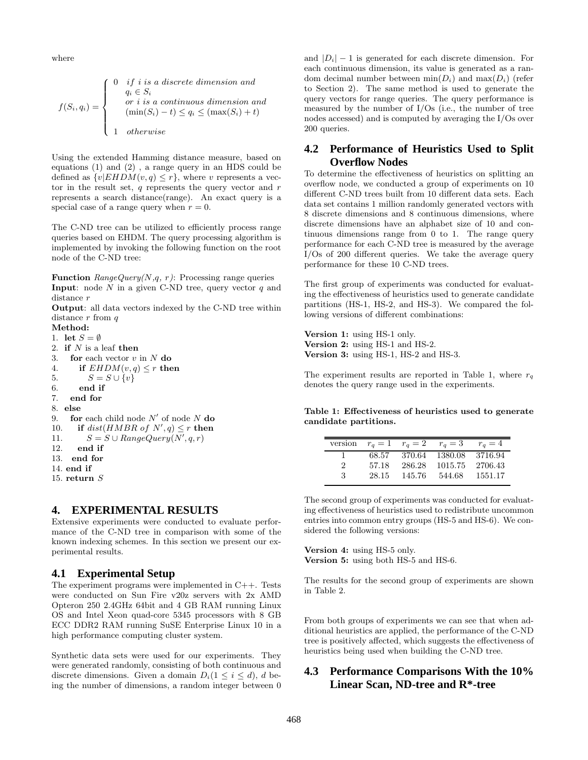where

$$
f(S_i, q_i) = \begin{cases} 0 & \text{if } i \text{ is a discrete dimension and} \\ q_i \in S_i \\ or i \text{ is a continuous dimension and} \\ (\min(S_i) - t) \le q_i \le (\max(S_i) + t) \\ 1 & otherwise \end{cases}
$$

Using the extended Hamming distance measure, based on equations (1) and (2) , a range query in an HDS could be defined as  $\{v|EHDM(v,q) \leq r\}$ , where v represents a vector in the result set,  $q$  represents the query vector and  $r$ represents a search distance(range). An exact query is a special case of a range query when  $r = 0$ .

The C-ND tree can be utilized to efficiently process range queries based on EHDM. The query processing algorithm is implemented by invoking the following function on the root node of the C-ND tree:

**Function** RangeQuery(N,q, r): Processing range queries **Input:** node N in a given C-ND tree, query vector  $q$  and distance r

Output: all data vectors indexed by the C-ND tree within distance r from q

Method: 1. let  $S = \emptyset$ 2. if  $N$  is a leaf then 3. for each vector  $v$  in  $N$  do 4. if  $EHDM(v, q) \leq r$  then 5.  $S = S \cup \{v\}$ 6. end if 7. end for 8. else 9. **for** each child node  $N'$  of node  $N$  **do** 10. if  $dist(HMBR \text{ of } N', q) \leq r$  then 11.  $S = S \cup RangeQuery(N', q, r)$ 12. end if 13. end for 14. end if 15. return S

### **4. EXPERIMENTAL RESULTS**

Extensive experiments were conducted to evaluate performance of the C-ND tree in comparison with some of the known indexing schemes. In this section we present our experimental results.

### **4.1 Experimental Setup**

The experiment programs were implemented in C++. Tests were conducted on Sun Fire v20z servers with 2x AMD Opteron 250 2.4GHz 64bit and 4 GB RAM running Linux OS and Intel Xeon quad-core 5345 processors with 8 GB ECC DDR2 RAM running SuSE Enterprise Linux 10 in a high performance computing cluster system.

Synthetic data sets were used for our experiments. They were generated randomly, consisting of both continuous and discrete dimensions. Given a domain  $D_i(1 \leq i \leq d)$ , d being the number of dimensions, a random integer between 0

and  $|D_i| - 1$  is generated for each discrete dimension. For each continuous dimension, its value is generated as a random decimal number between  $min(D_i)$  and  $max(D_i)$  (refer to Section 2). The same method is used to generate the query vectors for range queries. The query performance is measured by the number of I/Os (i.e., the number of tree nodes accessed) and is computed by averaging the I/Os over 200 queries.

# **4.2 Performance of Heuristics Used to Split Overflow Nodes**

To determine the effectiveness of heuristics on splitting an overflow node, we conducted a group of experiments on 10 different C-ND trees built from 10 different data sets. Each data set contains 1 million randomly generated vectors with 8 discrete dimensions and 8 continuous dimensions, where discrete dimensions have an alphabet size of 10 and continuous dimensions range from 0 to 1. The range query performance for each C-ND tree is measured by the average I/Os of 200 different queries. We take the average query performance for these 10 C-ND trees.

The first group of experiments was conducted for evaluating the effectiveness of heuristics used to generate candidate partitions (HS-1, HS-2, and HS-3). We compared the following versions of different combinations:

Version 1: using HS-1 only. Version 2: using HS-1 and HS-2. Version 3: using HS-1, HS-2 and HS-3.

The experiment results are reported in Table 1, where  $r_q$ denotes the query range used in the experiments.

Table 1: Effectiveness of heuristics used to generate candidate partitions.

|                             |       |        | version $r_q = 1$ $r_q = 2$ $r_q = 3$ | $r_a=4$ |
|-----------------------------|-------|--------|---------------------------------------|---------|
|                             | 68.57 | 370.64 | 1380.08 3716.94                       |         |
| $\mathcal{D}_{\mathcal{L}}$ | 57.18 | 286.28 | 1015.75                               | 2706.43 |
| -3-                         | 28.15 | 145.76 | 544.68                                | 1551.17 |

The second group of experiments was conducted for evaluating effectiveness of heuristics used to redistribute uncommon entries into common entry groups (HS-5 and HS-6). We considered the following versions:

Version 4: using HS-5 only. Version 5: using both HS-5 and HS-6.

The results for the second group of experiments are shown in Table 2.

From both groups of experiments we can see that when additional heuristics are applied, the performance of the C-ND tree is positively affected, which suggests the effectiveness of heuristics being used when building the C-ND tree.

# **4.3 Performance Comparisons With the 10% Linear Scan, ND-tree and R\*-tree**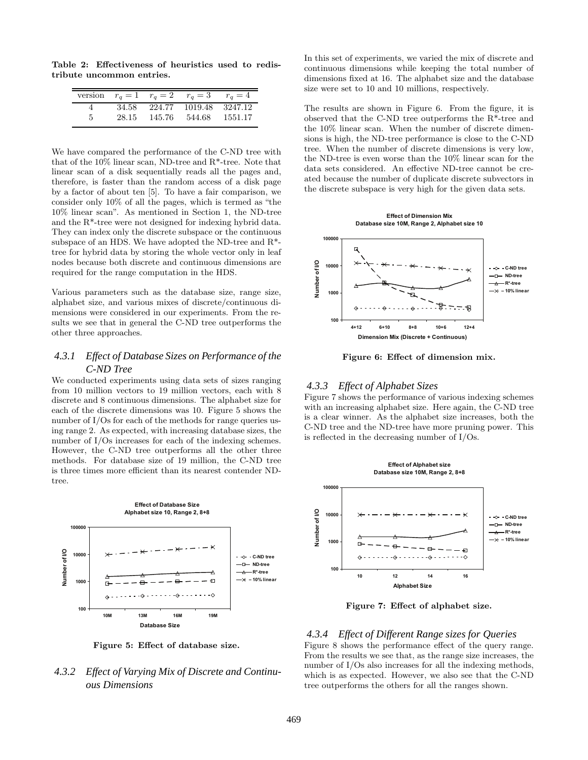Table 2: Effectiveness of heuristics used to redistribute uncommon entries.

|     |  | version $r_q = 1$ $r_q = 2$ $r_q = 3$ $r_q = 4$ |  |
|-----|--|-------------------------------------------------|--|
|     |  | 34.58 224.77 1019.48 3247.12                    |  |
| .5. |  | 28.15 145.76 544.68 1551.17                     |  |

We have compared the performance of the C-ND tree with that of the 10% linear scan, ND-tree and R\*-tree. Note that linear scan of a disk sequentially reads all the pages and, therefore, is faster than the random access of a disk page by a factor of about ten [5]. To have a fair comparison, we consider only 10% of all the pages, which is termed as "the 10% linear scan". As mentioned in Section 1, the ND-tree and the R\*-tree were not designed for indexing hybrid data. They can index only the discrete subspace or the continuous subspace of an HDS. We have adopted the ND-tree and R\* tree for hybrid data by storing the whole vector only in leaf nodes because both discrete and continuous dimensions are required for the range computation in the HDS.

Various parameters such as the database size, range size, alphabet size, and various mixes of discrete/continuous dimensions were considered in our experiments. From the results we see that in general the C-ND tree outperforms the other three approaches.

# *4.3.1 Effect of Database Sizes on Performance of the C-ND Tree*

We conducted experiments using data sets of sizes ranging from 10 million vectors to 19 million vectors, each with 8 discrete and 8 continuous dimensions. The alphabet size for each of the discrete dimensions was 10. Figure 5 shows the number of I/Os for each of the methods for range queries using range 2. As expected, with increasing database sizes, the number of I/Os increases for each of the indexing schemes. However, the C-ND tree outperforms all the other three methods. For database size of 19 million, the C-ND tree is three times more efficient than its nearest contender NDtree.



Figure 5: Effect of database size.

# *4.3.2 Effect of Varying Mix of Discrete and Continuous Dimensions*

In this set of experiments, we varied the mix of discrete and continuous dimensions while keeping the total number of dimensions fixed at 16. The alphabet size and the database size were set to 10 and 10 millions, respectively.

The results are shown in Figure 6. From the figure, it is observed that the C-ND tree outperforms the R\*-tree and the 10% linear scan. When the number of discrete dimensions is high, the ND-tree performance is close to the C-ND tree. When the number of discrete dimensions is very low, the ND-tree is even worse than the 10% linear scan for the data sets considered. An effective ND-tree cannot be created because the number of duplicate discrete subvectors in the discrete subspace is very high for the given data sets.



Figure 6: Effect of dimension mix.

### *4.3.3 Effect of Alphabet Sizes*

Figure 7 shows the performance of various indexing schemes with an increasing alphabet size. Here again, the C-ND tree is a clear winner. As the alphabet size increases, both the C-ND tree and the ND-tree have more pruning power. This is reflected in the decreasing number of I/Os.



Figure 7: Effect of alphabet size.

### *4.3.4 Effect of Different Range sizes for Queries*

Figure 8 shows the performance effect of the query range. From the results we see that, as the range size increases, the number of I/Os also increases for all the indexing methods, which is as expected. However, we also see that the C-ND tree outperforms the others for all the ranges shown.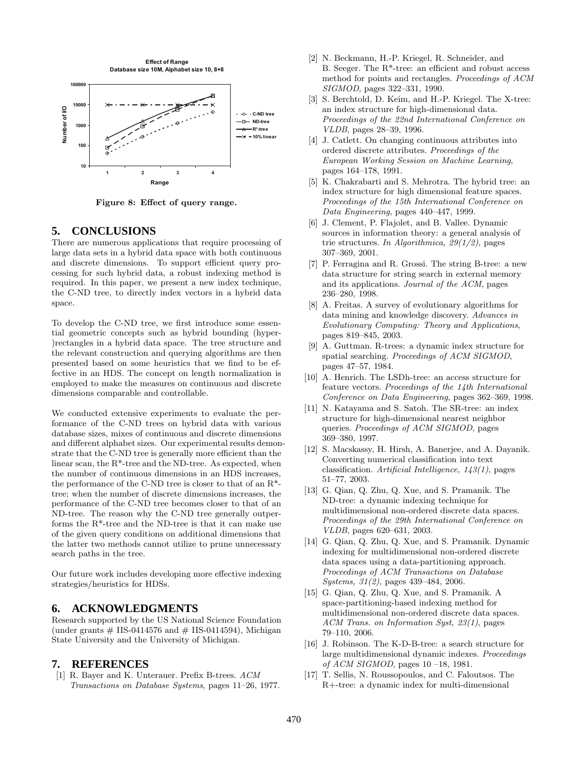

Figure 8: Effect of query range.

### **5. CONCLUSIONS**

There are numerous applications that require processing of large data sets in a hybrid data space with both continuous and discrete dimensions. To support efficient query processing for such hybrid data, a robust indexing method is required. In this paper, we present a new index technique, the C-ND tree, to directly index vectors in a hybrid data space.

To develop the C-ND tree, we first introduce some essential geometric concepts such as hybrid bounding (hyper- )rectangles in a hybrid data space. The tree structure and the relevant construction and querying algorithms are then presented based on some heuristics that we find to be effective in an HDS. The concept on length normalization is employed to make the measures on continuous and discrete dimensions comparable and controllable.

We conducted extensive experiments to evaluate the performance of the C-ND trees on hybrid data with various database sizes, mixes of continuous and discrete dimensions and different alphabet sizes. Our experimental results demonstrate that the C-ND tree is generally more efficient than the linear scan, the R\*-tree and the ND-tree. As expected, when the number of continuous dimensions in an HDS increases, the performance of the C-ND tree is closer to that of an R\* tree; when the number of discrete dimensions increases, the performance of the C-ND tree becomes closer to that of an ND-tree. The reason why the C-ND tree generally outperforms the R\*-tree and the ND-tree is that it can make use of the given query conditions on additional dimensions that the latter two methods cannot utilize to prune unnecessary search paths in the tree.

Our future work includes developing more effective indexing strategies/heuristics for HDSs.

### **6. ACKNOWLEDGMENTS**

Research supported by the US National Science Foundation (under grants  $\#$  IIS-0414576 and  $\#$  IIS-0414594), Michigan State University and the University of Michigan.

### **7. REFERENCES**

[1] R. Bayer and K. Unterauer. Prefix B-trees. ACM Transactions on Database Systems, pages 11–26, 1977.

- [2] N. Beckmann, H.-P. Kriegel, R. Schneider, and B. Seeger. The R\*-tree: an efficient and robust access method for points and rectangles. Proceedings of ACM SIGMOD, pages 322–331, 1990.
- [3] S. Berchtold, D. Keim, and H.-P. Kriegel. The X-tree: an index structure for high-dimensional data. Proceedings of the 22nd International Conference on VLDB, pages 28–39, 1996.
- [4] J. Catlett. On changing continuous attributes into ordered discrete attributes. Proceedings of the European Working Session on Machine Learning, pages 164–178, 1991.
- [5] K. Chakrabarti and S. Mehrotra. The hybrid tree: an index structure for high dimensional feature spaces. Proceedings of the 15th International Conference on Data Engineering, pages 440–447, 1999.
- [6] J. Clement, P. Flajolet, and B. Vallee. Dynamic sources in information theory: a general analysis of trie structures. In Algorithmica,  $29(1/2)$ , pages 307–369, 2001.
- [7] P. Ferragina and R. Grossi. The string B-tree: a new data structure for string search in external memory and its applications. Journal of the ACM, pages 236–280, 1998.
- [8] A. Freitas. A survey of evolutionary algorithms for data mining and knowledge discovery. Advances in Evolutionary Computing: Theory and Applications, pages 819–845, 2003.
- [9] A. Guttman. R-trees: a dynamic index structure for spatial searching. Proceedings of ACM SIGMOD, pages 47–57, 1984.
- [10] A. Henrich. The LSDh-tree: an access structure for feature vectors. Proceedings of the 14th International Conference on Data Engineering, pages 362–369, 1998.
- [11] N. Katayama and S. Satoh. The SR-tree: an index structure for high-dimensional nearest neighbor queries. Proceedings of ACM SIGMOD, pages 369–380, 1997.
- [12] S. Macskassy, H. Hirsh, A. Banerjee, and A. Dayanik. Converting numerical classification into text classification. Artificial Intelligence, 143(1), pages 51–77, 2003.
- [13] G. Qian, Q. Zhu, Q. Xue, and S. Pramanik. The ND-tree: a dynamic indexing technique for multidimensional non-ordered discrete data spaces. Proceedings of the 29th International Conference on VLDB, pages 620–631, 2003.
- [14] G. Qian, Q. Zhu, Q. Xue, and S. Pramanik. Dynamic indexing for multidimensional non-ordered discrete data spaces using a data-partitioning approach. Proceedings of ACM Transactions on Database Systems, 31(2), pages 439–484, 2006.
- [15] G. Qian, Q. Zhu, Q. Xue, and S. Pramanik. A space-partitioning-based indexing method for multidimensional non-ordered discrete data spaces. ACM Trans. on Information Syst, 23(1), pages 79–110, 2006.
- [16] J. Robinson. The K-D-B-tree: a search structure for large multidimensional dynamic indexes. Proceedings of ACM SIGMOD, pages 10 –18, 1981.
- [17] T. Sellis, N. Roussopoulos, and C. Faloutsos. The R+-tree: a dynamic index for multi-dimensional